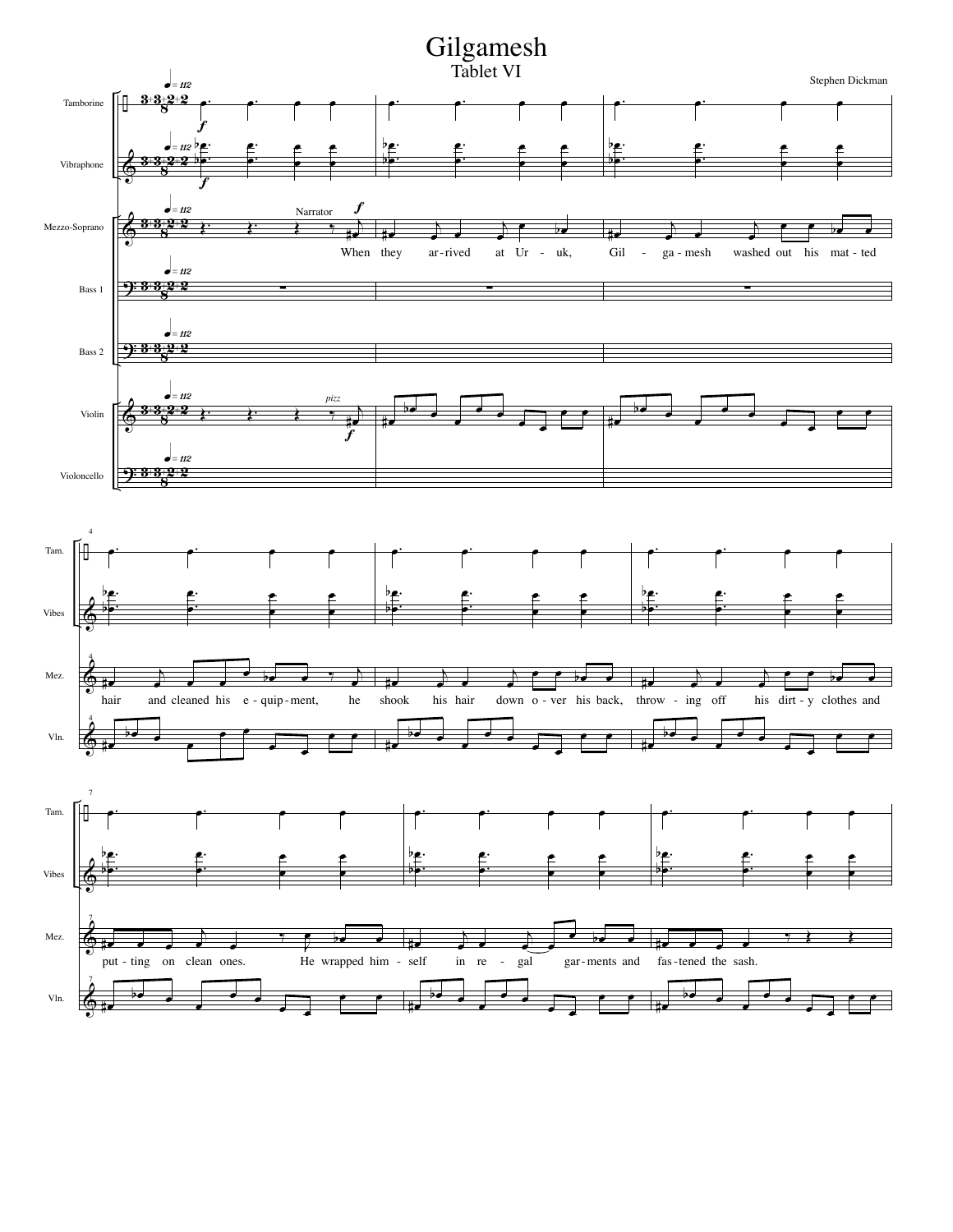## Gilgamesh

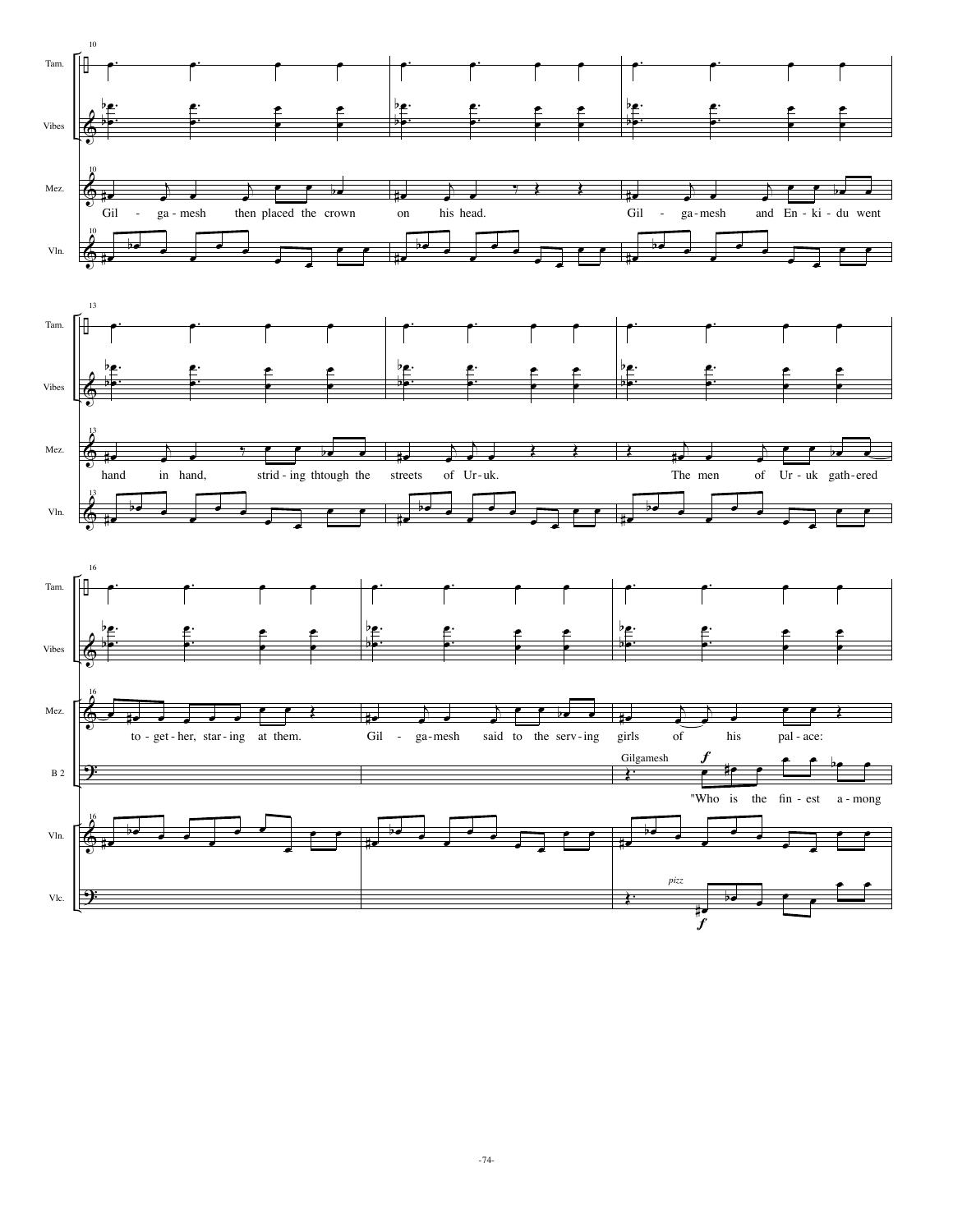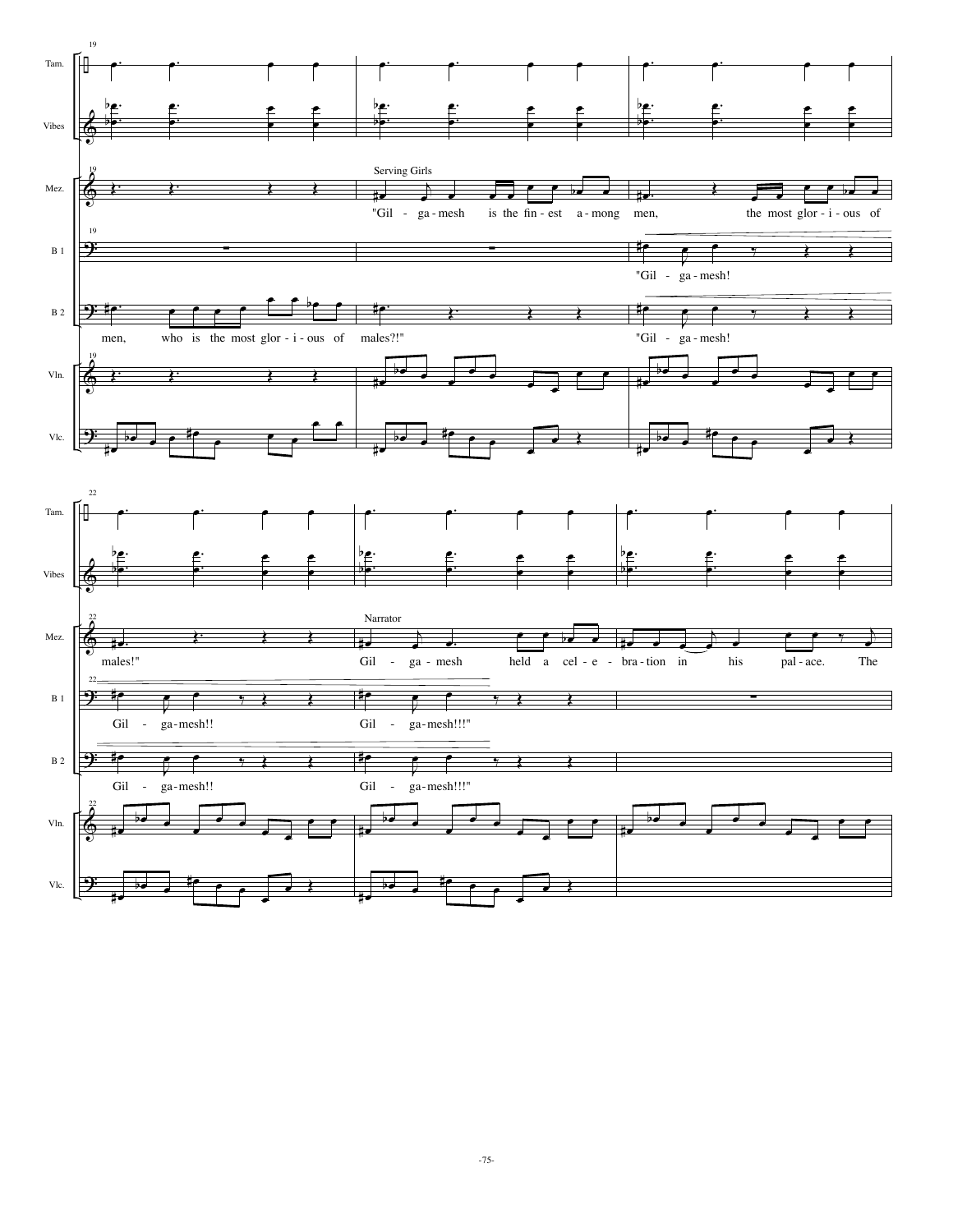